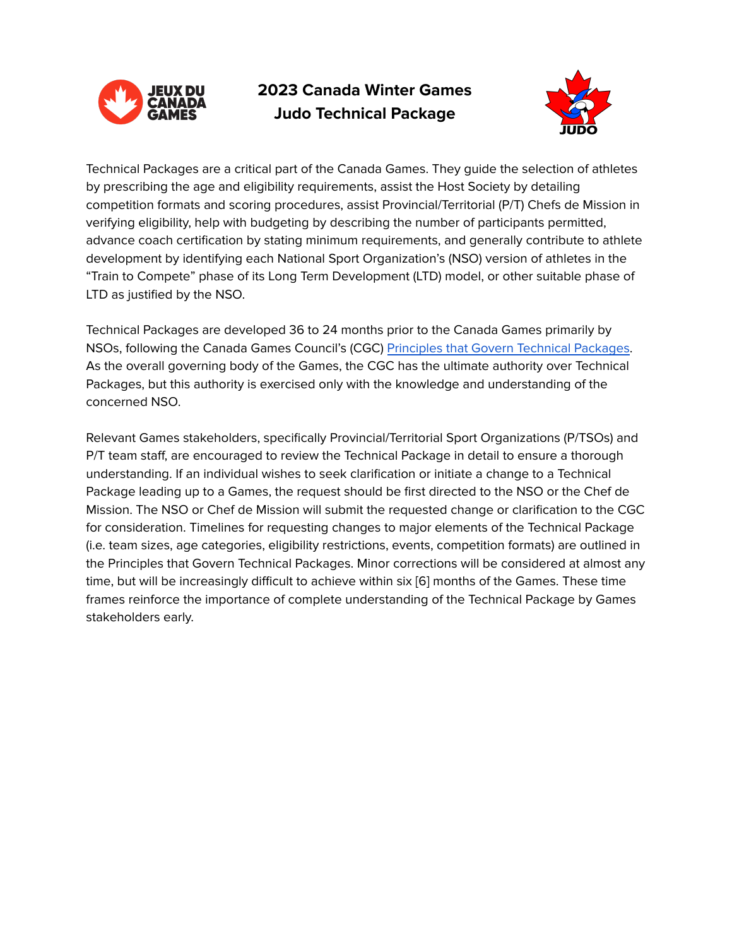

**2023 Canada Winter Games Judo Technical Package**



Technical Packages are a critical part of the Canada Games. They guide the selection of athletes by prescribing the age and eligibility requirements, assist the Host Society by detailing competition formats and scoring procedures, assist Provincial/Territorial (P/T) Chefs de Mission in verifying eligibility, help with budgeting by describing the number of participants permitted, advance coach certification by stating minimum requirements, and generally contribute to athlete development by identifying each National Sport Organization's (NSO) version of athletes in the "Train to Compete" phase of its Long Term Development (LTD) model, or other suitable phase of LTD as justified by the NSO.

Technical Packages are developed 36 to 24 months prior to the Canada Games primarily by NSOs, following the Canada Games Council's (CGC) Principles that Govern Technical [Packages.](https://drive.google.com/file/d/1GXl7jcjEL2VzncUBqCpBj7VHcAX1qK8X/view?usp=sharing) As the overall governing body of the Games, the CGC has the ultimate authority over Technical Packages, but this authority is exercised only with the knowledge and understanding of the concerned NSO.

Relevant Games stakeholders, specifically Provincial/Territorial Sport Organizations (P/TSOs) and P/T team staff, are encouraged to review the Technical Package in detail to ensure a thorough understanding. If an individual wishes to seek clarification or initiate a change to a Technical Package leading up to a Games, the request should be first directed to the NSO or the Chef de Mission. The NSO or Chef de Mission will submit the requested change or clarification to the CGC for consideration. Timelines for requesting changes to major elements of the Technical Package (i.e. team sizes, age categories, eligibility restrictions, events, competition formats) are outlined in the Principles that Govern Technical Packages. Minor corrections will be considered at almost any time, but will be increasingly difficult to achieve within six [6] months of the Games. These time frames reinforce the importance of complete understanding of the Technical Package by Games stakeholders early.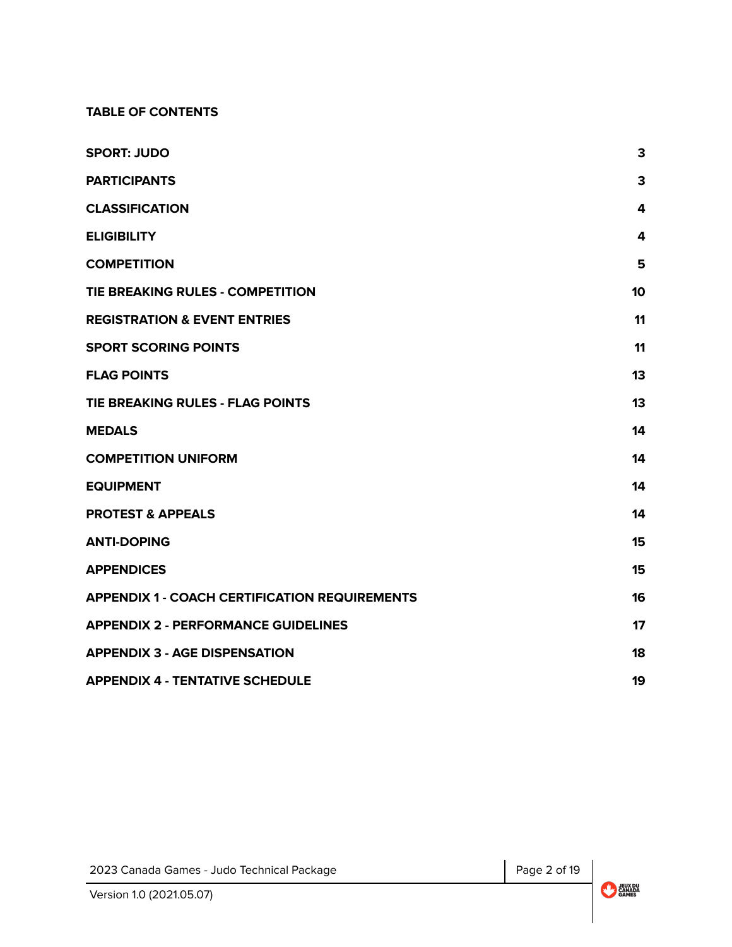#### **TABLE OF CONTENTS**

| <b>SPORT: JUDO</b>                                   | 3                       |
|------------------------------------------------------|-------------------------|
| <b>PARTICIPANTS</b>                                  | 3                       |
| <b>CLASSIFICATION</b>                                | 4                       |
| <b>ELIGIBILITY</b>                                   | $\overline{\mathbf{4}}$ |
| <b>COMPETITION</b>                                   | 5                       |
| TIE BREAKING RULES - COMPETITION                     | 10                      |
| <b>REGISTRATION &amp; EVENT ENTRIES</b>              | 11                      |
| <b>SPORT SCORING POINTS</b>                          | 11                      |
| <b>FLAG POINTS</b>                                   | 13                      |
| TIE BREAKING RULES - FLAG POINTS                     | 13                      |
| <b>MEDALS</b>                                        | 14                      |
| <b>COMPETITION UNIFORM</b>                           | 14                      |
| <b>EQUIPMENT</b>                                     | 14                      |
| <b>PROTEST &amp; APPEALS</b>                         | 14                      |
| <b>ANTI-DOPING</b>                                   | 15                      |
| <b>APPENDICES</b>                                    | 15                      |
| <b>APPENDIX 1 - COACH CERTIFICATION REQUIREMENTS</b> | 16                      |
| <b>APPENDIX 2 - PERFORMANCE GUIDELINES</b>           | 17                      |
| <b>APPENDIX 3 - AGE DISPENSATION</b>                 | 18                      |
| <b>APPENDIX 4 - TENTATIVE SCHEDULE</b>               | 19                      |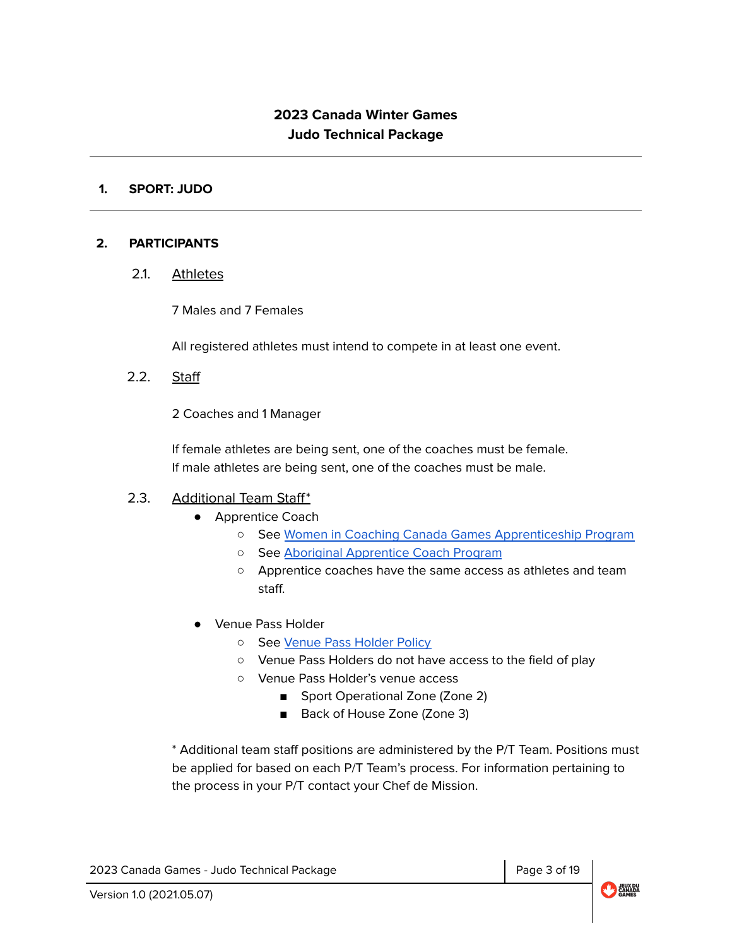# **2023 Canada Winter Games Judo Technical Package**

#### <span id="page-2-0"></span>**1. SPORT: JUDO**

#### <span id="page-2-1"></span>**2. PARTICIPANTS**

2.1. Athletes

7 Males and 7 Females

All registered athletes must intend to compete in at least one event.

2.2. Staff

2 Coaches and 1 Manager

If female athletes are being sent, one of the coaches must be female. If male athletes are being sent, one of the coaches must be male.

### 2.3. Additional Team Staff\*

- Apprentice Coach
	- See Women in Coaching Canada Games [Apprenticeship](http://www.coach.ca/-p157337) Program
	- See Aboriginal [Apprentice](http://www.coach.ca/aboriginal-coaching-appreticeship-program-p158252) Coach Program
	- Apprentice coaches have the same access as athletes and team staff.
- Venue Pass Holder
	- o See Venue Pass [Holder](https://drive.google.com/open?id=1i7Ggys8k7Rvy8qxCPVmjc3NjQLcR_-R2) Policy
	- Venue Pass Holders do not have access to the field of play
	- Venue Pass Holder's venue access
		- Sport Operational Zone (Zone 2)
		- Back of House Zone (Zone 3)

\* Additional team staff positions are administered by the P/T Team. Positions must be applied for based on each P/T Team's process. For information pertaining to the process in your P/T contact your Chef de Mission.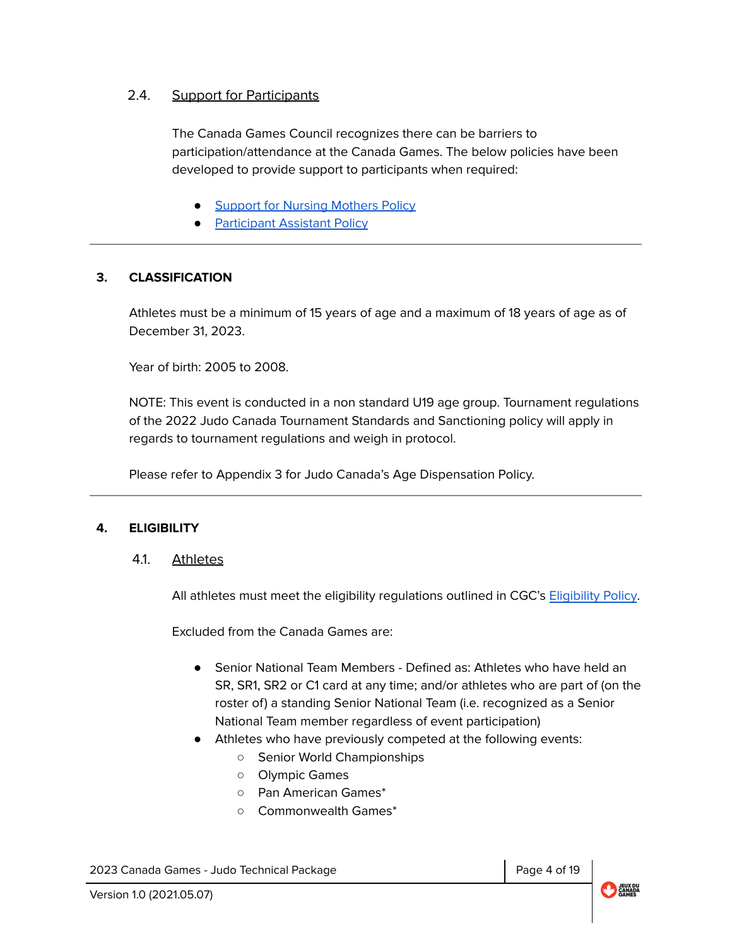## 2.4. Support for Participants

The Canada Games Council recognizes there can be barriers to participation/attendance at the Canada Games. The below policies have been developed to provide support to participants when required:

- Support for Nursing [Mothers](https://drive.google.com/file/d/1Jiti9hwV4WCMQWroE7cpzRXtiGkzyuX-/view?usp=sharing) Policy
- **[Participant](https://drive.google.com/file/d/1-ifklrlx5lwrWPUt5UUZwKxeSwcYqOa7/view?usp=sharing) Assistant Policy**

## <span id="page-3-0"></span>**3. CLASSIFICATION**

Athletes must be a minimum of 15 years of age and a maximum of 18 years of age as of December 31, 2023.

Year of birth: 2005 to 2008.

NOTE: This event is conducted in a non standard U19 age group. Tournament regulations of the 2022 Judo Canada Tournament Standards and Sanctioning policy will apply in regards to tournament regulations and weigh in protocol.

Please refer to Appendix 3 for Judo Canada's Age Dispensation Policy.

### <span id="page-3-1"></span>**4. ELIGIBILITY**

### 4.1. Athletes

All athletes must meet the eligibility regulations outlined in CGC's [Eligibility](https://drive.google.com/open?id=1wUszKUOf7U-2GvIpWw7vTUdqfha5f0UW) Policy.

Excluded from the Canada Games are:

- Senior National Team Members Defined as: Athletes who have held an SR, SR1, SR2 or C1 card at any time; and/or athletes who are part of (on the roster of) a standing Senior National Team (i.e. recognized as a Senior National Team member regardless of event participation)
- Athletes who have previously competed at the following events:
	- Senior World Championships
	- Olympic Games
	- Pan American Games\*
	- Commonwealth Games\*

2023 Canada Games - Judo Technical Package Page 4 of 19

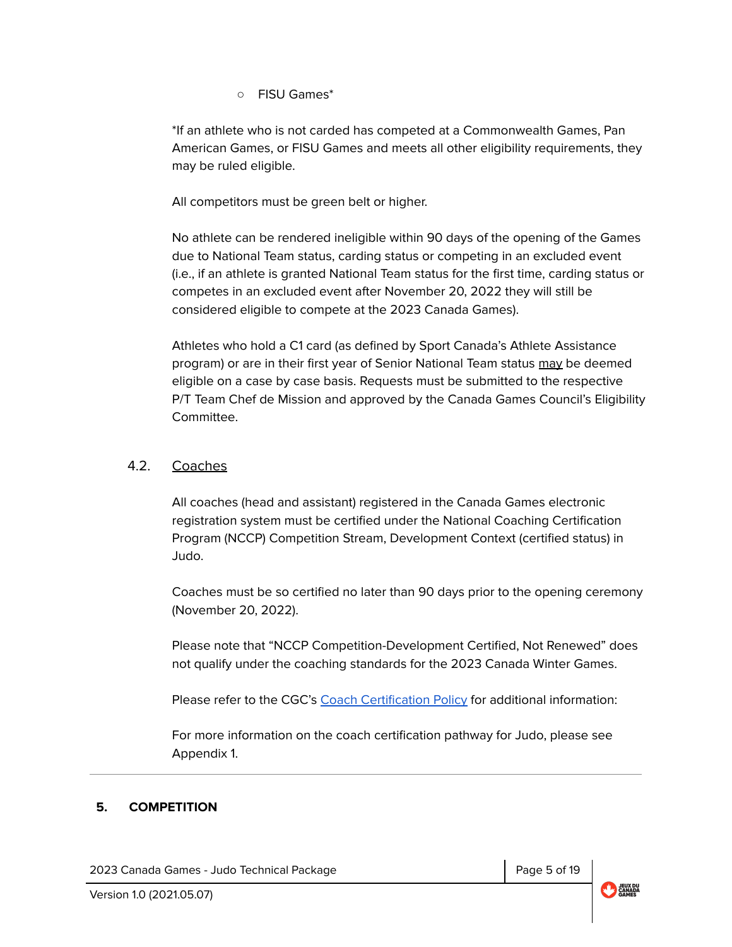○ FISU Games\*

\*If an athlete who is not carded has competed at a Commonwealth Games, Pan American Games, or FISU Games and meets all other eligibility requirements, they may be ruled eligible.

All competitors must be green belt or higher.

No athlete can be rendered ineligible within 90 days of the opening of the Games due to National Team status, carding status or competing in an excluded event (i.e., if an athlete is granted National Team status for the first time, carding status or competes in an excluded event after November 20, 2022 they will still be considered eligible to compete at the 2023 Canada Games).

Athletes who hold a C1 card (as defined by Sport Canada's Athlete Assistance program) or are in their first year of Senior National Team status may be deemed eligible on a case by case basis. Requests must be submitted to the respective P/T Team Chef de Mission and approved by the Canada Games Council's Eligibility Committee.

## 4.2. Coaches

All coaches (head and assistant) registered in the Canada Games electronic registration system must be certified under the National Coaching Certification Program (NCCP) Competition Stream, Development Context (certified status) in Judo.

Coaches must be so certified no later than 90 days prior to the opening ceremony (November 20, 2022).

Please note that "NCCP Competition-Development Certified, Not Renewed" does not qualify under the coaching standards for the 2023 Canada Winter Games.

Please refer to the CGC's Coach [Certification](https://drive.google.com/open?id=1G3R4LPSxy5bc_IZALgwLYqQzOpxFSm4x) Policy for additional information:

For more information on the coach certification pathway for Judo, please see Appendix 1.

### **5. COMPETITION**

2023 Canada Games - Judo Technical Package Page 19 and Research 19 and Page 5 of 19

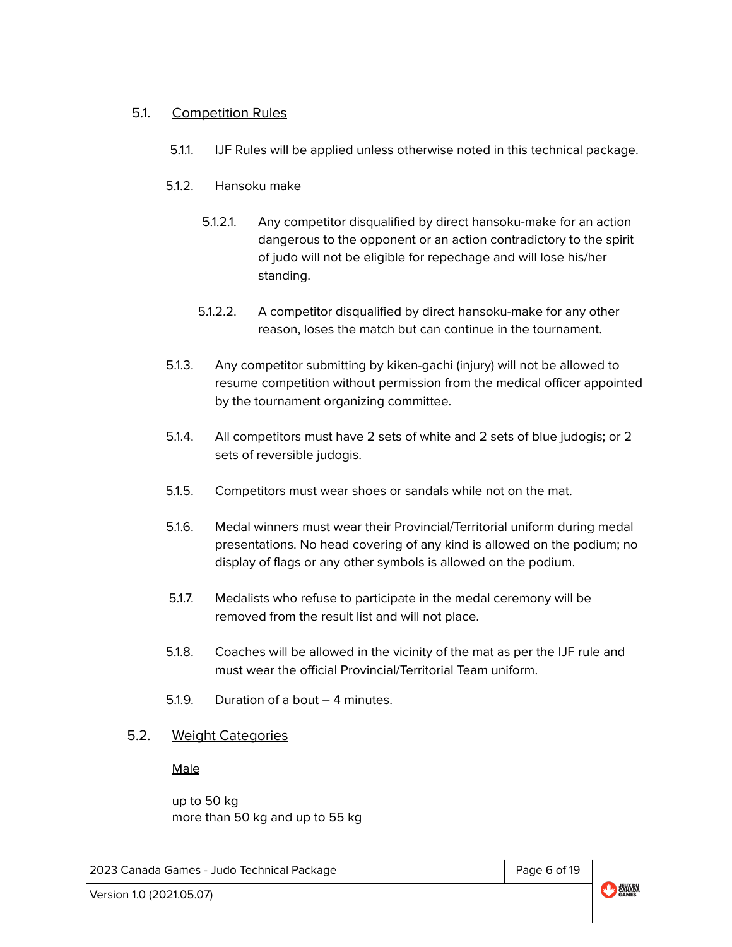## 5.1. Competition Rules

- 5.1.1. IJF Rules will be applied unless otherwise noted in this technical package.
- 5.1.2. Hansoku make
	- 5.1.2.1. Any competitor disqualified by direct hansoku-make for an action dangerous to the opponent or an action contradictory to the spirit of judo will not be eligible for repechage and will lose his/her standing.
	- 5.1.2.2. A competitor disqualified by direct hansoku-make for any other reason, loses the match but can continue in the tournament.
- 5.1.3. Any competitor submitting by kiken-gachi (injury) will not be allowed to resume competition without permission from the medical officer appointed by the tournament organizing committee.
- 5.1.4. All competitors must have 2 sets of white and 2 sets of blue judogis; or 2 sets of reversible judogis.
- 5.1.5. Competitors must wear shoes or sandals while not on the mat.
- 5.1.6. Medal winners must wear their Provincial/Territorial uniform during medal presentations. No head covering of any kind is allowed on the podium; no display of flags or any other symbols is allowed on the podium.
- 5.1.7. Medalists who refuse to participate in the medal ceremony will be removed from the result list and will not place.
- 5.1.8. Coaches will be allowed in the vicinity of the mat as per the IJF rule and must wear the official Provincial/Territorial Team uniform.
- 5.1.9. Duration of a bout 4 minutes.

## 5.2. Weight Categories

Male

up to 50 kg more than 50 kg and up to 55 kg

2023 Canada Games - Judo Technical Package Page 6 of 19

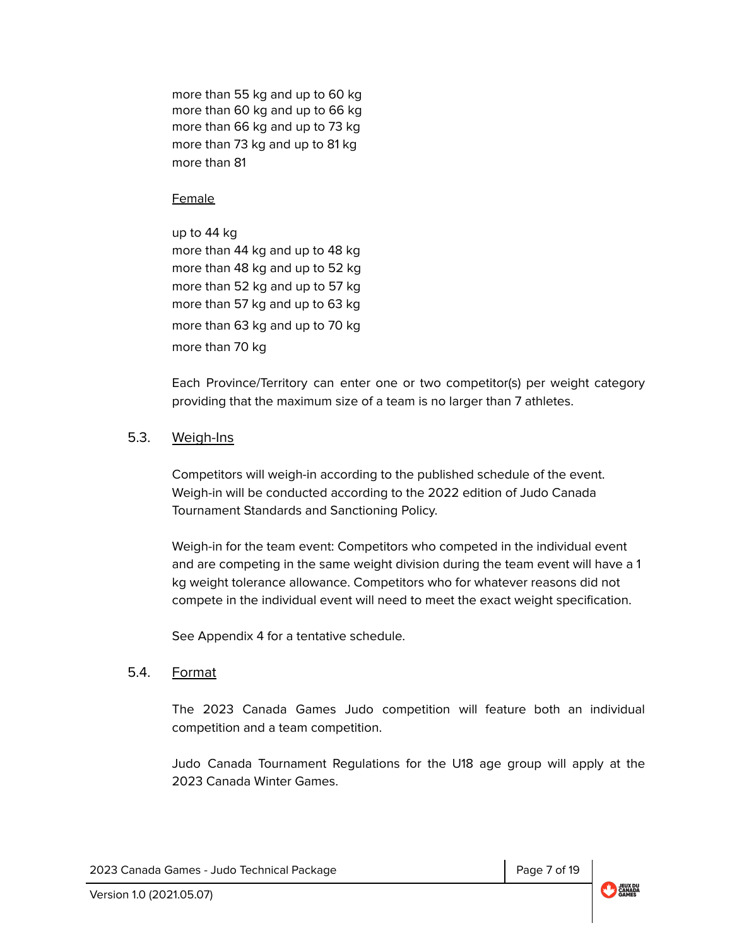more than 55 kg and up to 60 kg more than 60 kg and up to 66 kg more than 66 kg and up to 73 kg more than 73 kg and up to 81 kg more than 81

#### **Female**

up to 44 kg more than 44 kg and up to 48 kg more than 48 kg and up to 52 kg more than 52 kg and up to 57 kg more than 57 kg and up to 63 kg more than 63 kg and up to 70 kg more than 70 kg

Each Province/Territory can enter one or two competitor(s) per weight category providing that the maximum size of a team is no larger than 7 athletes.

## 5.3. Weigh-Ins

Competitors will weigh-in according to the published schedule of the event. Weigh-in will be conducted according to the 2022 edition of Judo Canada Tournament Standards and Sanctioning Policy.

Weigh-in for the team event: Competitors who competed in the individual event and are competing in the same weight division during the team event will have a 1 kg weight tolerance allowance. Competitors who for whatever reasons did not compete in the individual event will need to meet the exact weight specification.

See Appendix 4 for a tentative schedule.

## 5.4. Format

The 2023 Canada Games Judo competition will feature both an individual competition and a team competition.

Judo Canada Tournament Regulations for the U18 age group will apply at the 2023 Canada Winter Games.

2023 Canada Games - Judo Technical Package Page 7 of 19

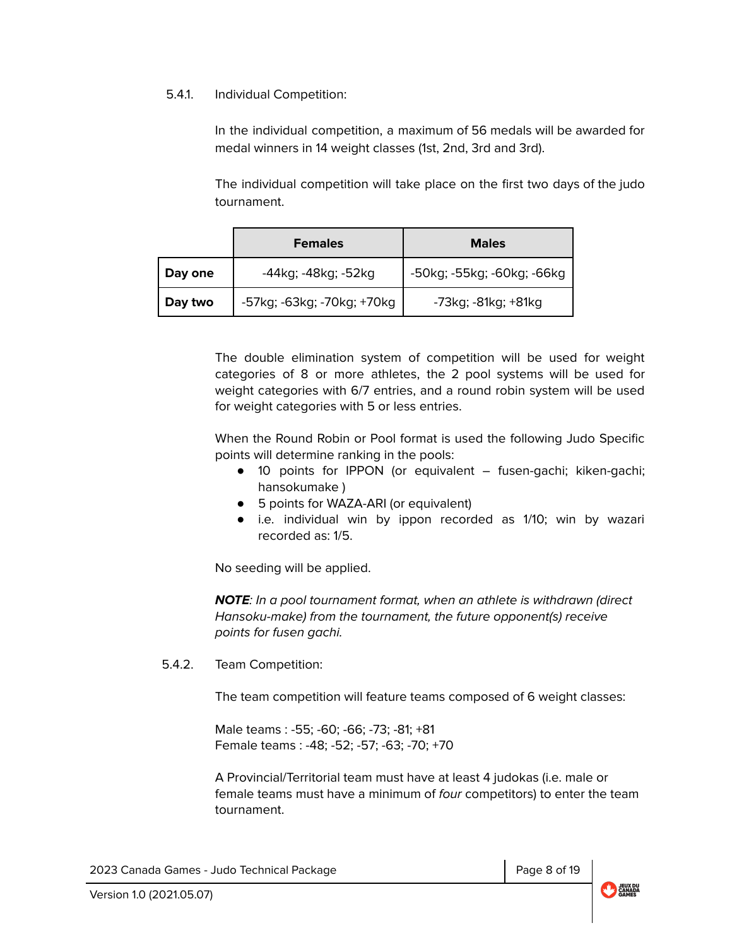#### 5.4.1. Individual Competition:

In the individual competition, a maximum of 56 medals will be awarded for medal winners in 14 weight classes (1st, 2nd, 3rd and 3rd).

The individual competition will take place on the first two days of the judo tournament.

|         | <b>Females</b>             | <b>Males</b>                 |
|---------|----------------------------|------------------------------|
| Day one | -44kg; -48kg; -52kg        | -50kg; -55kg; -60kg; -66kg   |
| Day two | -57kg; -63kg; -70kg; +70kg | $-73$ kg; $-81$ kg; $+81$ kg |

The double elimination system of competition will be used for weight categories of 8 or more athletes, the 2 pool systems will be used for weight categories with 6/7 entries, and a round robin system will be used for weight categories with 5 or less entries.

When the Round Robin or Pool format is used the following Judo Specific points will determine ranking in the pools:

- 10 points for IPPON (or equivalent fusen-gachi; kiken-gachi; hansokumake )
- 5 points for WAZA-ARI (or equivalent)
- i.e. individual win by ippon recorded as 1/10; win by wazari recorded as: 1/5.

No seeding will be applied.

**NOTE**: In a pool tournament format, when an athlete is withdrawn (direct Hansoku-make) from the tournament, the future opponent(s) receive points for fusen gachi.

5.4.2. Team Competition:

The team competition will feature teams composed of 6 weight classes:

Male teams : -55; -60; -66; -73; -81; +81 Female teams : -48; -52; -57; -63; -70; +70

A Provincial/Territorial team must have at least 4 judokas (i.e. male or female teams must have a minimum of four competitors) to enter the team tournament.

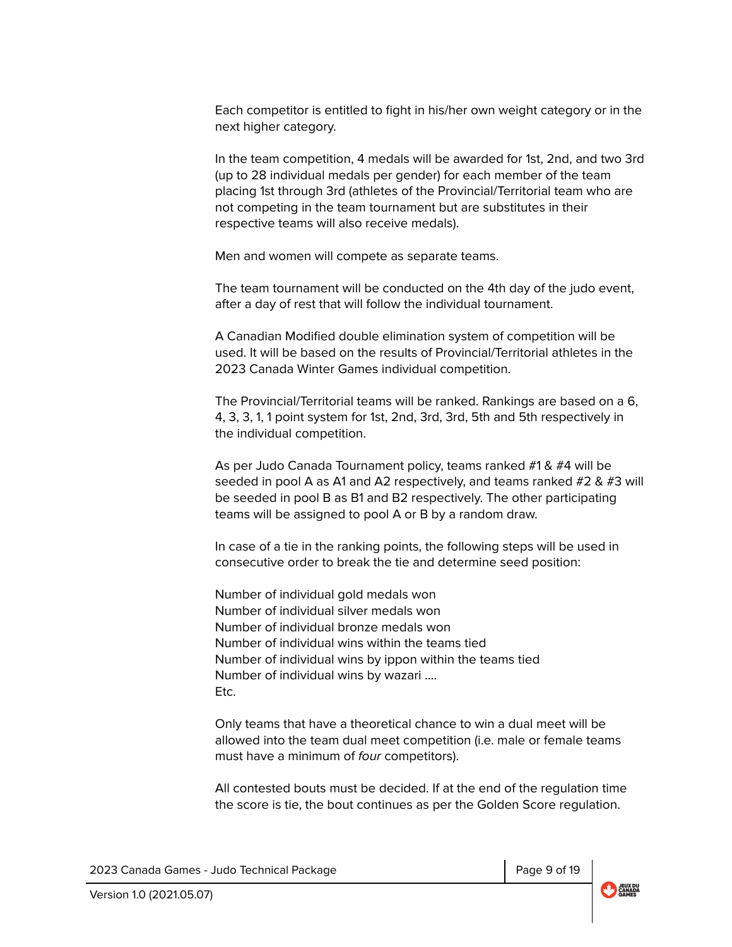Each competitor is entitled to fight in his/her own weight category or in the next higher category.

In the team competition, 4 medals will be awarded for 1st, 2nd, and two 3rd (up to 28 individual medals per gender) for each member of the team placing 1st through 3rd (athletes of the Provincial/Territorial team who are not competing in the team tournament but are substitutes in their respective teams will also receive medals).

Men and women will compete as separate teams.

The team tournament will be conducted on the 4th day of the judo event, after a day of rest that will follow the individual tournament.

A Canadian Modified double elimination system of competition will be used. It will be based on the results of Provincial/Territorial athletes in the 2023 Canada Winter Games individual competition.

The Provincial/Territorial teams will be ranked. Rankings are based on a 6, 4, 3, 3, 1, 1 point system for 1st, 2nd, 3rd, 3rd, 5th and 5th respectively in the individual competition.

As per Judo Canada Tournament policy, teams ranked #1 & #4 will be seeded in pool A as A1 and A2 respectively, and teams ranked  $#2 \& #3$  will be seeded in pool B as B1 and B2 respectively. The other participating teams will be assigned to pool A or B by a random draw.

In case of a tie in the ranking points, the following steps will be used in consecutive order to break the tie and determine seed position:

Number of individual gold medals won Number of individual silver medals won Number of individual bronze medals won Number of individual wins within the teams tied Number of individual wins by ippon within the teams tied Number of individual wins by wazari …. Etc.

Only teams that have a theoretical chance to win a dual meet will be allowed into the team dual meet competition (i.e. male or female teams must have a minimum of four competitors).

All contested bouts must be decided. If at the end of the regulation time the score is tie, the bout continues as per the Golden Score regulation.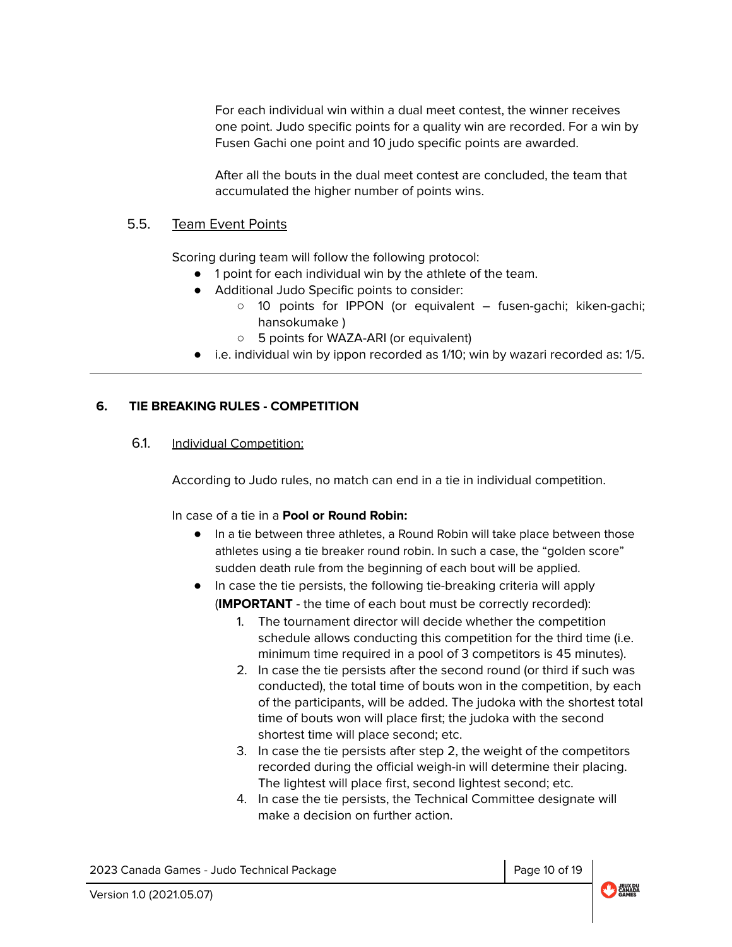For each individual win within a dual meet contest, the winner receives one point. Judo specific points for a quality win are recorded. For a win by Fusen Gachi one point and 10 judo specific points are awarded.

After all the bouts in the dual meet contest are concluded, the team that accumulated the higher number of points wins.

### 5.5. Team Event Points

Scoring during team will follow the following protocol:

- 1 point for each individual win by the athlete of the team.
- Additional Judo Specific points to consider:
	- 10 points for IPPON (or equivalent fusen-gachi; kiken-gachi; hansokumake )
	- 5 points for WAZA-ARI (or equivalent)
- i.e. individual win by ippon recorded as 1/10; win by wazari recorded as: 1/5.

### <span id="page-9-0"></span>**6. TIE BREAKING RULES - COMPETITION**

## 6.1. Individual Competition:

According to Judo rules, no match can end in a tie in individual competition.

In case of a tie in a **Pool or Round Robin:**

- In a tie between three athletes, a Round Robin will take place between those athletes using a tie breaker round robin. In such a case, the "golden score" sudden death rule from the beginning of each bout will be applied.
- In case the tie persists, the following tie-breaking criteria will apply (**IMPORTANT** - the time of each bout must be correctly recorded):
	- 1. The tournament director will decide whether the competition schedule allows conducting this competition for the third time (i.e. minimum time required in a pool of 3 competitors is 45 minutes).
	- 2. In case the tie persists after the second round (or third if such was conducted), the total time of bouts won in the competition, by each of the participants, will be added. The judoka with the shortest total time of bouts won will place first; the judoka with the second shortest time will place second; etc.
	- 3. In case the tie persists after step 2, the weight of the competitors recorded during the official weigh-in will determine their placing. The lightest will place first, second lightest second; etc.
	- 4. In case the tie persists, the Technical Committee designate will make a decision on further action.

2023 Canada Games - Judo Technical Package Page 10 of 19

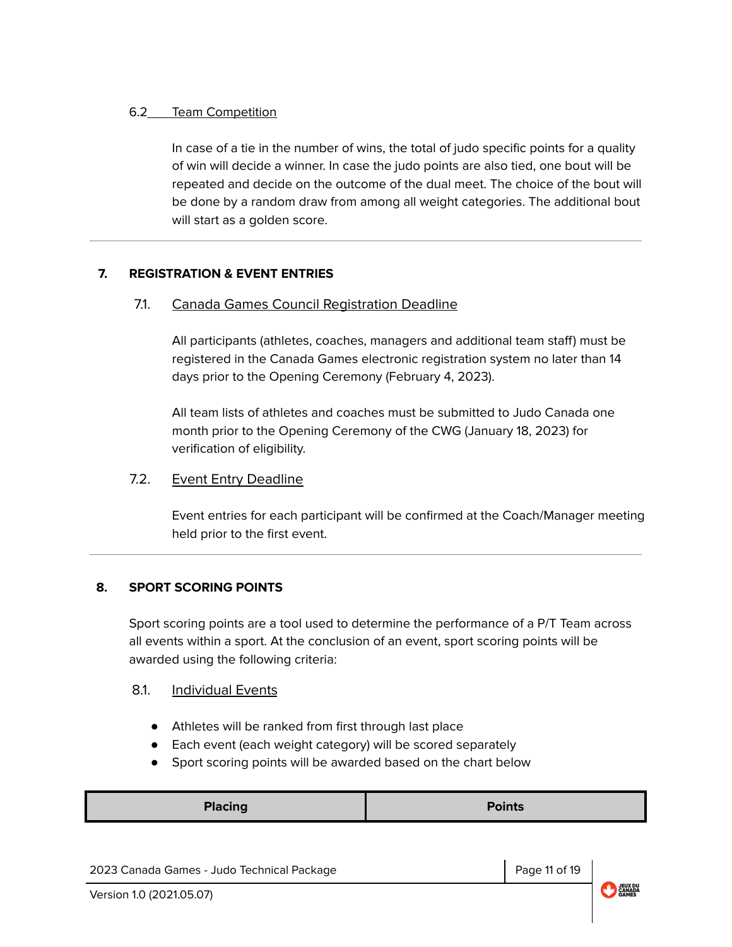## 6.2 Team Competition

In case of a tie in the number of wins, the total of judo specific points for a quality of win will decide a winner. In case the judo points are also tied, one bout will be repeated and decide on the outcome of the dual meet. The choice of the bout will be done by a random draw from among all weight categories. The additional bout will start as a golden score.

## <span id="page-10-0"></span>**7. REGISTRATION & EVENT ENTRIES**

## 7.1. Canada Games Council Registration Deadline

All participants (athletes, coaches, managers and additional team staff) must be registered in the Canada Games electronic registration system no later than 14 days prior to the Opening Ceremony (February 4, 2023).

All team lists of athletes and coaches must be submitted to Judo Canada one month prior to the Opening Ceremony of the CWG (January 18, 2023) for verification of eligibility.

## 7.2. Event Entry Deadline

Event entries for each participant will be confirmed at the Coach/Manager meeting held prior to the first event.

## <span id="page-10-1"></span>**8. SPORT SCORING POINTS**

Sport scoring points are a tool used to determine the performance of a P/T Team across all events within a sport. At the conclusion of an event, sport scoring points will be awarded using the following criteria:

## 8.1. Individual Events

- Athletes will be ranked from first through last place
- Each event (each weight category) will be scored separately
- Sport scoring points will be awarded based on the chart below

|--|

2023 Canada Games - Judo Technical Package Page 11 of 19

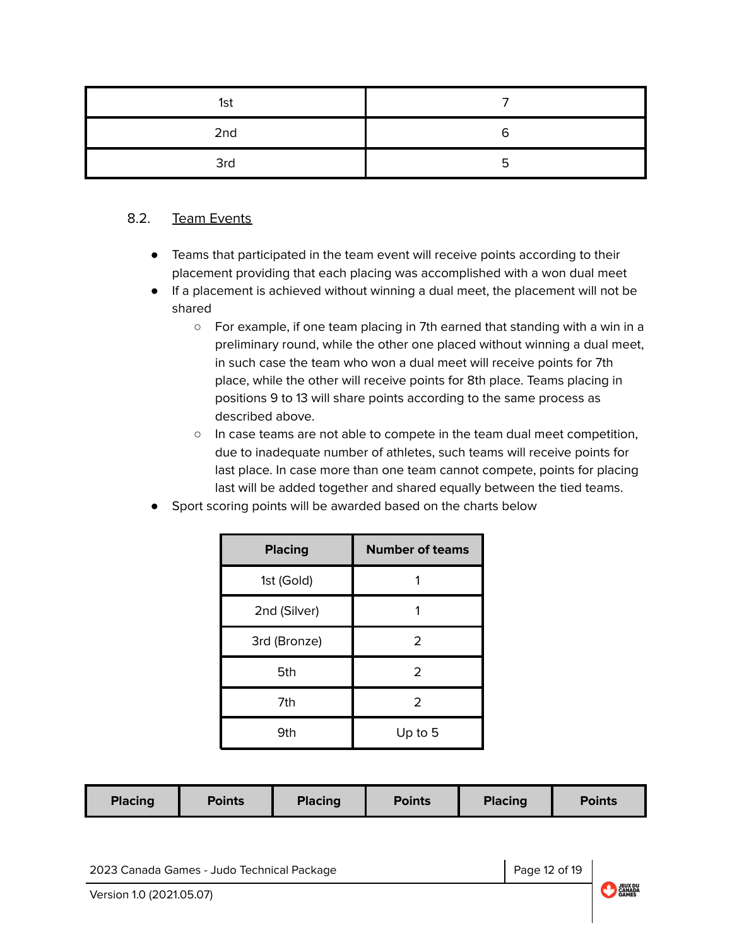| 1st |   |
|-----|---|
| 2nd |   |
| 3rd | ∽ |

## 8.2. Team Events

- Teams that participated in the team event will receive points according to their placement providing that each placing was accomplished with a won dual meet
- If a placement is achieved without winning a dual meet, the placement will not be shared
	- For example, if one team placing in 7th earned that standing with a win in a preliminary round, while the other one placed without winning a dual meet, in such case the team who won a dual meet will receive points for 7th place, while the other will receive points for 8th place. Teams placing in positions 9 to 13 will share points according to the same process as described above.
	- In case teams are not able to compete in the team dual meet competition, due to inadequate number of athletes, such teams will receive points for last place. In case more than one team cannot compete, points for placing last will be added together and shared equally between the tied teams.
- Sport scoring points will be awarded based on the charts below

| <b>Placing</b> | <b>Number of teams</b> |
|----------------|------------------------|
| 1st (Gold)     |                        |
| 2nd (Silver)   |                        |
| 3rd (Bronze)   | 2                      |
| 5th            | 2                      |
| 7th            | $\mathfrak{D}$         |
| 9th            | Up to 5                |

2023 Canada Games - Judo Technical Package Page 12 of 19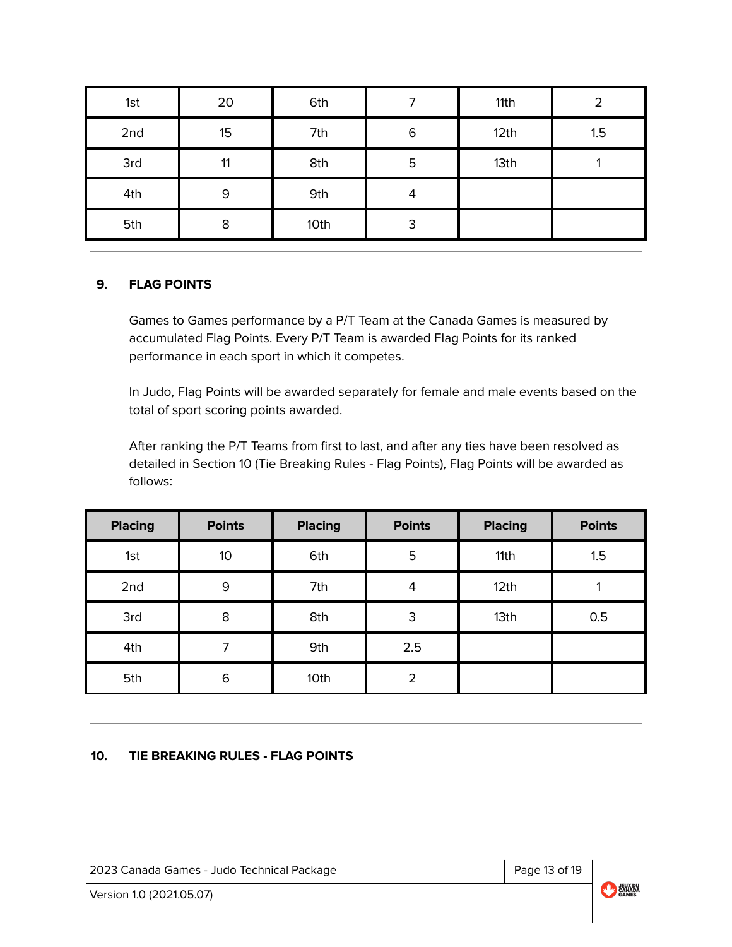| 1st | 20 | 6th  | ⇁ | 11th | າ   |
|-----|----|------|---|------|-----|
| 2nd | 15 | 7th  | 6 | 12th | 1.5 |
| 3rd | 11 | 8th  | 5 | 13th |     |
| 4th | 9  | 9th  | 4 |      |     |
| 5th | 8  | 10th | 3 |      |     |

### <span id="page-12-0"></span>**9. FLAG POINTS**

Games to Games performance by a P/T Team at the Canada Games is measured by accumulated Flag Points. Every P/T Team is awarded Flag Points for its ranked performance in each sport in which it competes.

In Judo, Flag Points will be awarded separately for female and male events based on the total of sport scoring points awarded.

After ranking the P/T Teams from first to last, and after any ties have been resolved as detailed in Section 10 (Tie Breaking Rules - Flag Points), Flag Points will be awarded as follows:

| <b>Placing</b> | <b>Points</b> | <b>Placing</b> | <b>Points</b>  | <b>Placing</b> | <b>Points</b> |  |
|----------------|---------------|----------------|----------------|----------------|---------------|--|
| 1st            | 10            | 6th            | 5              | 11th           | 1.5           |  |
| 2nd            | 9             | 7th            | 4              | 12th           |               |  |
| 3rd            | 8             | 8th            | 3              | 13th           | 0.5           |  |
| 4th            | ⇁             | 9th            | 2.5            |                |               |  |
| 5th            | 6             | 10th           | $\overline{2}$ |                |               |  |

### <span id="page-12-1"></span>**10. TIE BREAKING RULES - FLAG POINTS**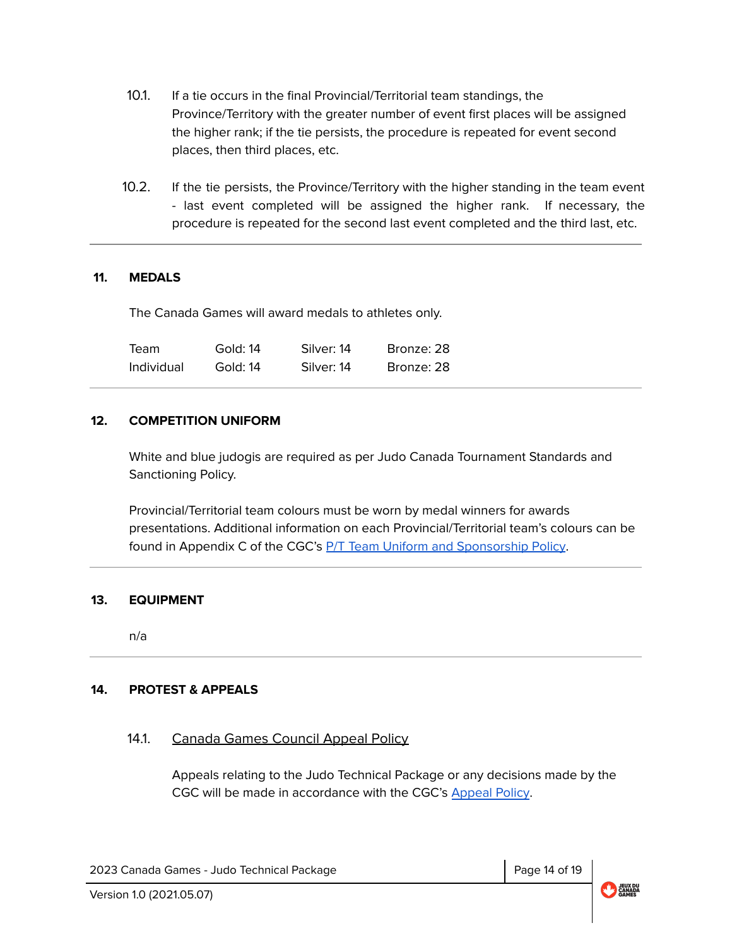- 10.1. If a tie occurs in the final Provincial/Territorial team standings, the Province/Territory with the greater number of event first places will be assigned the higher rank; if the tie persists, the procedure is repeated for event second places, then third places, etc.
- 10.2. If the tie persists, the Province/Territory with the higher standing in the team event - last event completed will be assigned the higher rank. If necessary, the procedure is repeated for the second last event completed and the third last, etc.

### <span id="page-13-0"></span>**11. MEDALS**

The Canada Games will award medals to athletes only.

| Team       | Gold: 14 | Silver: 14 | Bronze: 28 |
|------------|----------|------------|------------|
| Individual | Gold: 14 | Silver: 14 | Bronze: 28 |

### <span id="page-13-1"></span>**12. COMPETITION UNIFORM**

White and blue judogis are required as per Judo Canada Tournament Standards and Sanctioning Policy.

Provincial/Territorial team colours must be worn by medal winners for awards presentations. Additional information on each Provincial/Territorial team's colours can be found in Appendix C of the CGC's P/T Team Uniform and [Sponsorship](https://drive.google.com/file/d/1vMbiA2HctQIuBGM_NmMtRi0hMPPDlMQb/view?usp=sharing) Policy.

#### <span id="page-13-2"></span>**13. EQUIPMENT**

n/a

### <span id="page-13-3"></span>**14. PROTEST & APPEALS**

### 14.1. Canada Games Council Appeal Policy

Appeals relating to the Judo Technical Package or any decisions made by the CGC will be made in accordance with the CGC's [Appeal](https://drive.google.com/file/d/1hze-wvJJXahMgpCpn-JS-di8BY9AApR7/view?usp=sharing) Policy.

2023 Canada Games - Judo Technical Package Page 14 of 19

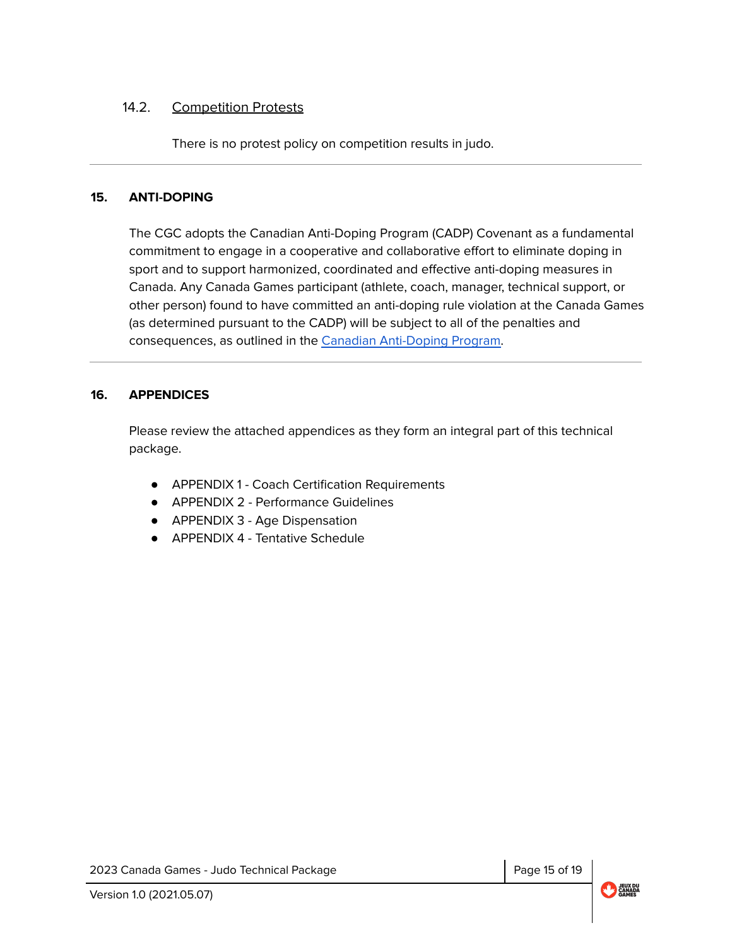## 14.2. Competition Protests

There is no protest policy on competition results in judo.

### <span id="page-14-0"></span>**15. ANTI-DOPING**

The CGC adopts the Canadian Anti-Doping Program (CADP) Covenant as a fundamental commitment to engage in a cooperative and collaborative effort to eliminate doping in sport and to support harmonized, coordinated and effective anti-doping measures in Canada. Any Canada Games participant (athlete, coach, manager, technical support, or other person) found to have committed an anti-doping rule violation at the Canada Games (as determined pursuant to the CADP) will be subject to all of the penalties and consequences, as outlined in the Canadian [Anti-Doping](https://cces.ca/sites/default/files/content/docs/pdf/2021-cces-policy-cadp-2021-final-draft-e.pdf) Program.

#### <span id="page-14-1"></span>**16. APPENDICES**

Please review the attached appendices as they form an integral part of this technical package.

- APPENDIX 1 Coach Certification Requirements
- APPENDIX 2 Performance Guidelines
- APPENDIX 3 Age Dispensation
- APPENDIX 4 Tentative Schedule

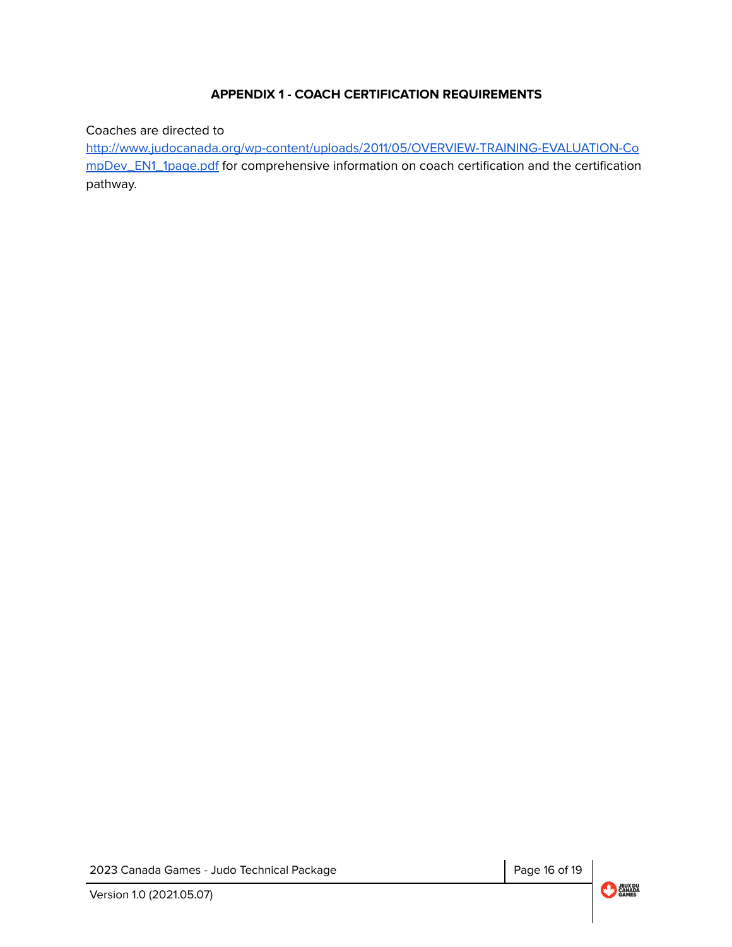## **APPENDIX 1 - COACH CERTIFICATION REQUIREMENTS**

<span id="page-15-0"></span>Coaches are directed to

[http://www.judocanada.org/wp-content/uploads/2011/05/OVERVIEW-TRAINING-EVALUATION-Co](http://www.judocanada.org/wp-content/uploads/2011/05/OVERVIEW-TRAINING-EVALUATION-CompDev_EN1_1page.pdf) [mpDev\\_EN1\\_1page.pdf](http://www.judocanada.org/wp-content/uploads/2011/05/OVERVIEW-TRAINING-EVALUATION-CompDev_EN1_1page.pdf) for comprehensive information on coach certification and the certification pathway.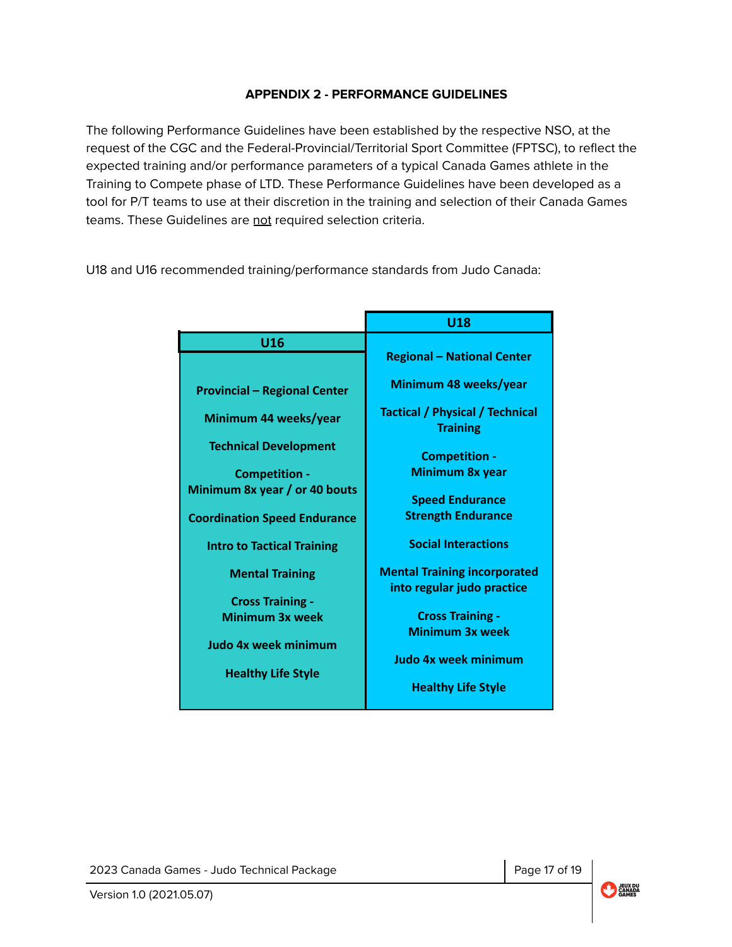## **APPENDIX 2 - PERFORMANCE GUIDELINES**

<span id="page-16-0"></span>The following Performance Guidelines have been established by the respective NSO, at the request of the CGC and the Federal-Provincial/Territorial Sport Committee (FPTSC), to reflect the expected training and/or performance parameters of a typical Canada Games athlete in the Training to Compete phase of LTD. These Performance Guidelines have been developed as a tool for P/T teams to use at their discretion in the training and selection of their Canada Games teams. These Guidelines are not required selection criteria.

U18 and U16 recommended training/performance standards from Judo Canada:

|                                                       | U <sub>18</sub>                                                   |  |  |  |  |
|-------------------------------------------------------|-------------------------------------------------------------------|--|--|--|--|
| <b>U16</b>                                            | <b>Regional - National Center</b>                                 |  |  |  |  |
| <b>Provincial - Regional Center</b>                   | Minimum 48 weeks/year                                             |  |  |  |  |
| Minimum 44 weeks/year                                 | <b>Tactical / Physical / Technical</b><br><b>Training</b>         |  |  |  |  |
| <b>Technical Development</b>                          | <b>Competition -</b><br><b>Minimum 8x year</b>                    |  |  |  |  |
| <b>Competition -</b><br>Minimum 8x year / or 40 bouts | <b>Speed Endurance</b>                                            |  |  |  |  |
| <b>Coordination Speed Endurance</b>                   | <b>Strength Endurance</b>                                         |  |  |  |  |
| <b>Intro to Tactical Training</b>                     | <b>Social Interactions</b>                                        |  |  |  |  |
| <b>Mental Training</b><br><b>Cross Training -</b>     | <b>Mental Training incorporated</b><br>into regular judo practice |  |  |  |  |
| Minimum 3x week                                       | <b>Cross Training -</b><br><b>Minimum 3x week</b>                 |  |  |  |  |
| <b>Judo 4x week minimum</b>                           | Judo 4x week minimum                                              |  |  |  |  |
| <b>Healthy Life Style</b>                             | <b>Healthy Life Style</b>                                         |  |  |  |  |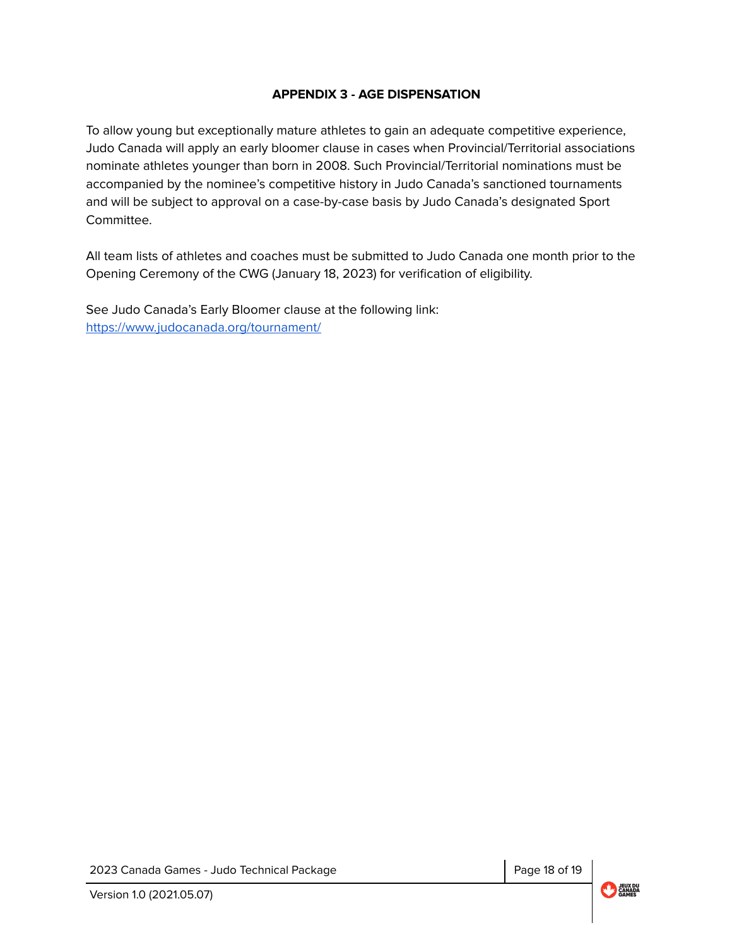## **APPENDIX 3 - AGE DISPENSATION**

<span id="page-17-0"></span>To allow young but exceptionally mature athletes to gain an adequate competitive experience, Judo Canada will apply an early bloomer clause in cases when Provincial/Territorial associations nominate athletes younger than born in 2008. Such Provincial/Territorial nominations must be accompanied by the nominee's competitive history in Judo Canada's sanctioned tournaments and will be subject to approval on a case-by-case basis by Judo Canada's designated Sport Committee.

All team lists of athletes and coaches must be submitted to Judo Canada one month prior to the Opening Ceremony of the CWG (January 18, 2023) for verification of eligibility.

See Judo Canada's Early Bloomer clause at the following link: <https://www.judocanada.org/tournament/>